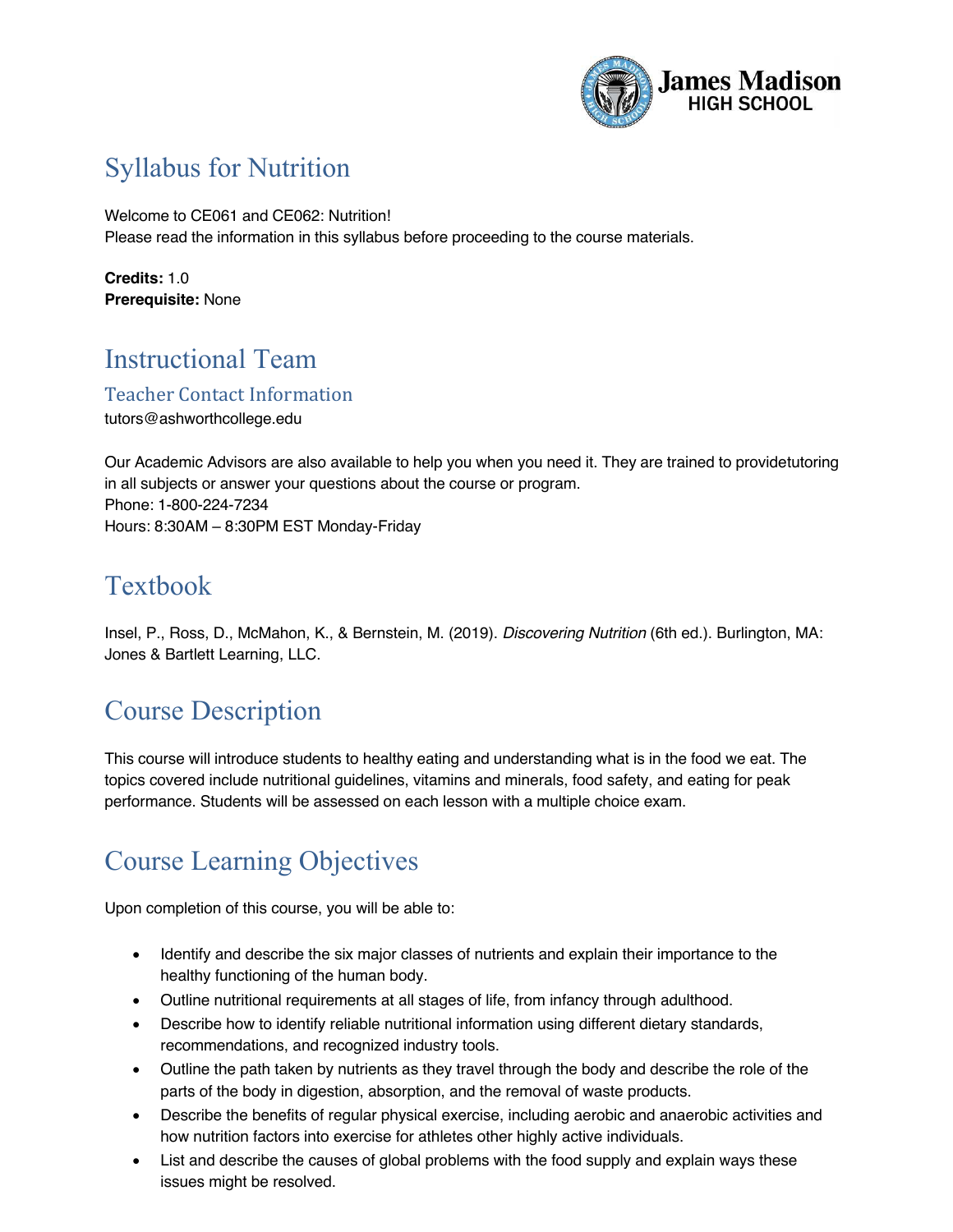

## Syllabus for Nutrition

Welcome to CE061 and CE062: Nutrition! Please read the information in this syllabus before proceeding to the course materials.

**Credits:** 1.0 **Prerequisite:** None

# Instructional Team

Teacher Contact Information

tutors@ashworthcollege.edu

Our Academic Advisors are also available to help you when you need it. They are trained to providetutoring in all subjects or answer your questions about the course or program. Phone: 1-800-224-7234 Hours: 8:30AM – 8:30PM EST Monday-Friday

### Textbook

Insel, P., Ross, D., McMahon, K., & Bernstein, M. (2019). *Discovering Nutrition* (6th ed.). Burlington, MA: Jones & Bartlett Learning, LLC.

### Course Description

This course will introduce students to healthy eating and understanding what is in the food we eat. The topics covered include nutritional guidelines, vitamins and minerals, food safety, and eating for peak performance. Students will be assessed on each lesson with a multiple choice exam.

# Course Learning Objectives

Upon completion of this course, you will be able to:

- Identify and describe the six major classes of nutrients and explain their importance to the healthy functioning of the human body.
- Outline nutritional requirements at all stages of life, from infancy through adulthood.
- Describe how to identify reliable nutritional information using different dietary standards, recommendations, and recognized industry tools.
- Outline the path taken by nutrients as they travel through the body and describe the role of the parts of the body in digestion, absorption, and the removal of waste products.
- Describe the benefits of regular physical exercise, including aerobic and anaerobic activities and how nutrition factors into exercise for athletes other highly active individuals.
- List and describe the causes of global problems with the food supply and explain ways these issues might be resolved.